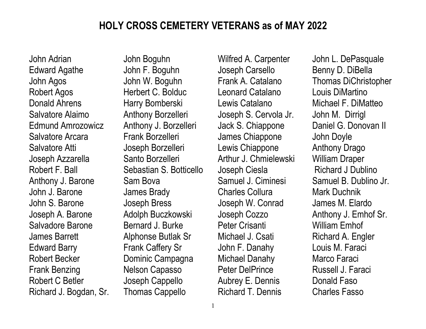## HOLY CROSS CEMETERY VETERANS as of MAY 2022

John Adrian Edward Agathe John Agos Robert Agos Donald Ahrens Salvatore Alaimo Edmund Amrozowicz Salvatore Arcara Salvatore Atti Joseph Azzarella Robert F. Ball Anthony J. Barone John J. Barone John S. Barone Joseph A. Barone Salvadore Barone James Barrett Edward Barry Robert Becker Frank Benzing Robert C Betler Richard J. Bogdan, Sr. John Boguhn John F. Boguhn John W. Boguhn Herbert C. Bolduc Harry Bomberski Anthony Borzelleri Anthony J. Borzelleri Frank Borzelleri Joseph Borzelleri Santo Borzelleri Sebastian S. Botticello Sam Bova James Brady Joseph Bress Adolph Buczkowski Bernard J. Burke Alphonse Butlak Sr Frank Caffery Sr Dominic Campagna Nelson Capasso Joseph Cappello Thomas Cappello

Wilfred A. Carpenter Joseph Carsello Frank A. Catalano Leonard Catalano Lewis Catalano Joseph S. Cervola Jr. Jack S. Chiappone James Chiappone Lewis Chiappone Arthur J. Chmielewski Joseph Ciesla Samuel J. Ciminesi Charles Collura Joseph W. Conrad Joseph Cozzo Peter Crisanti Michael J. Csati John F. Danahy Michael Danahy Peter DelPrince Aubrey E. Dennis Richard T. Dennis

John L. DePasquale Benny D. DiBella Thomas DiChristopher Louis DiMartino Michael F. DiMatteo John M. Dirrigl Daniel G. Donovan II John Doyle Anthony Drago William Draper Richard J Dublino Samuel B. Dublino Jr. Mark Duchnik James M. Elardo Anthony J. Emhof Sr. William Emhof Richard A. Engler Louis M. Faraci Marco Faraci Russell J. Faraci Donald Faso Charles Fasso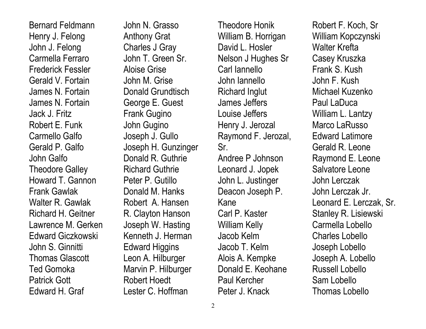Bernard Feldmann Henry J. Felong John J. Felong Carmella Ferraro Frederick Fessler Gerald V. Fortain James N. Fortain James N. Fortain Jack J. Fritz Robert E. Funk Carmello Galfo Gerald P. Galfo John Galfo Theodore Galley Howard T. Gannon Frank Gawlak Walter R. Gawlak Richard H. Geitner Lawrence M. Gerken Edward Giczkowski John S. Ginnitti Thomas Glascott Ted Gomoka Patrick Gott Edward H. Graf

John N. Grasso Anthony Grat Charles J Gray John T. Green Sr. Aloise Grise John M. Grise Donald Grundtisch George E. Guest Frank Gugino John Gugino Joseph J. Gullo Joseph H. Gunzinger Donald R. Guthrie Richard Guthrie Peter P. Gutillo Donald M. Hanks Robert A. Hansen R. Clayton Hanson Joseph W. Hasting Kenneth J. Herman Edward Higgins Leon A. Hilburger Marvin P. Hilburger Robert Hoedt Lester C. Hoffman

Theodore Honik William B. Horrigan David L. Hosler Nelson J Hughes Sr Carl Iannello John Iannello Richard Inglut James Jeffers Louise Jeffers Henry J. Jerozal Raymond F. Jerozal, Sr. Andree P Johnson Leonard J. Jopek John L. Justinger Deacon Joseph P. Kane Carl P. Kaster William Kelly Jacob Kelm Jacob T. Kelm Alois A. Kempke Donald E. Keohane Paul Kercher Peter J. Knack

Robert F. Koch, Sr William Kopczynski Walter Krefta Casey Kruszka Frank S. Kush John F. Kush Michael Kuzenko Paul LaDuca William L. Lantzy Marco LaRusso Edward Latimore Gerald R. Leone Raymond E. Leone Salvatore Leone John Lerczak John Lerczak Jr. Leonard E. Lerczak, Sr. Stanley R. Lisiewski Carmella Lobello Charles Lobello Joseph Lobello Joseph A. Lobello Russell Lobello Sam Lobello Thomas Lobello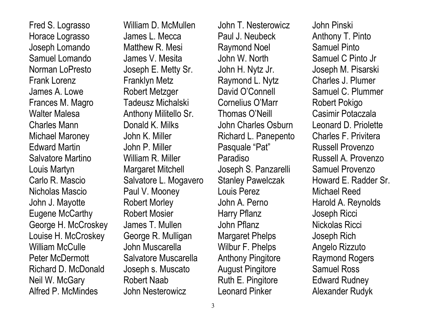Fred S. Lograsso Horace Lograsso Joseph Lomando Samuel Lomando Norman LoPresto Frank Lorenz James A. Lowe Frances M. Magro Walter Malesa Charles Mann Michael Maroney Edward Martin Salvatore Martino Louis Martyn Carlo R. Mascio Nicholas Mascio John J. Mayotte Eugene McCarthy George H. McCroskey Louise H. McCroskey William McCulle Peter McDermott Richard D. McDonald Neil W. McGary Alfred P. McMindes

William D. McMullen James L. Mecca Matthew R. Mesi James V. Mesita Joseph E. Metty Sr. Franklyn Metz Robert Metzger Tadeusz Michalski Anthony Militello Sr. Donald K. Milks John K. Miller John P. Miller William R. Miller Margaret Mitchell Salvatore L. Mogavero Paul V. Mooney Robert Morley Robert Mosier James T. Mullen George R. Mulligan John Muscarella Salvatore Muscarella Joseph s. Muscato Robert Naab John Nesterowicz

John T. Nesterowicz Paul J. Neubeck Raymond Noel John W. North John H. Nytz Jr. Raymond L. Nytz David O'Connell Cornelius O'Marr Thomas O'Neill John Charles Osburn Richard L. Panepento Pasquale "Pat" Paradiso Joseph S. Panzarelli Stanley Pawelczak Louis Perez John A. Perno Harry Pflanz John Pflanz Margaret Phelps Wilbur F. Phelps Anthony Pingitore August Pingitore Ruth E. Pingitore Leonard Pinker

John Pinski Anthony T. Pinto Samuel Pinto Samuel C Pinto Jr Joseph M. Pisarski Charles J. Plumer Samuel C. Plummer Robert Pokigo Casimir Potaczala Leonard D. Priolette Charles F. Privitera Russell Provenzo Russell A. Provenzo Samuel Provenzo Howard E. Radder Sr. Michael Reed Harold A. Reynolds Joseph Ricci Nickolas Ricci Joseph Rich Angelo Rizzuto Raymond Rogers Samuel Ross Edward Rudney Alexander Rudyk